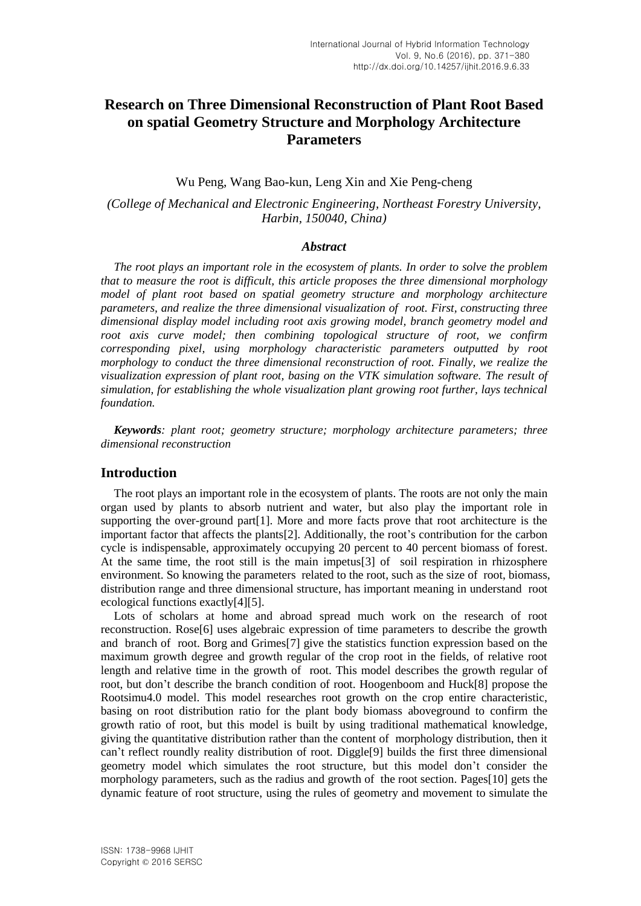# **Research on Three Dimensional Reconstruction of Plant Root Based on spatial Geometry Structure and Morphology Architecture Parameters**

## Wu Peng, Wang Bao-kun, Leng Xin and Xie Peng-cheng

## *(College of Mechanical and Electronic Engineering, Northeast Forestry University, Harbin, 150040, China)*

### *Abstract*

*The root plays an important role in the ecosystem of plants. In order to solve the problem that to measure the root is difficult, this article proposes the three dimensional morphology model of plant root based on spatial geometry structure and morphology architecture parameters, and realize the three dimensional visualization of root. First, constructing three dimensional display model including root axis growing model, branch geometry model and root axis curve model; then combining topological structure of root, we confirm corresponding pixel, using morphology characteristic parameters outputted by root morphology to conduct the three dimensional reconstruction of root. Finally, we realize the visualization expression of plant root, basing on the VTK simulation software. The result of simulation, for establishing the whole visualization plant growing root further, lays technical foundation.*

*Keywords: plant root; geometry structure; morphology architecture parameters; three dimensional reconstruction*

## **Introduction**

The root plays an important role in the ecosystem of plants. The roots are not only the main organ used by plants to absorb nutrient and water, but also play the important role in supporting the over-ground part[1]. More and more facts prove that root architecture is the important factor that affects the plants[2]. Additionally, the root's contribution for the carbon cycle is indispensable, approximately occupying 20 percent to 40 percent biomass of forest. At the same time, the root still is the main impetus[3] of soil respiration in rhizosphere environment. So knowing the parameters related to the root, such as the size of root, biomass, distribution range and three dimensional structure, has important meaning in understand root ecological functions exactly[4][5].

Lots of scholars at home and abroad spread much work on the research of root reconstruction. Rose[6] uses algebraic expression of time parameters to describe the growth and branch of root. Borg and Grimes[7] give the statistics function expression based on the maximum growth degree and growth regular of the crop root in the fields, of relative root length and relative time in the growth of root. This model describes the growth regular of root, but don't describe the branch condition of root. Hoogenboom and Huck[8] propose the Rootsimu4.0 model. This model researches root growth on the crop entire characteristic, basing on root distribution ratio for the plant body biomass aboveground to confirm the growth ratio of root, but this model is built by using traditional mathematical knowledge, giving the quantitative distribution rather than the content of morphology distribution, then it can't reflect roundly reality distribution of root. Diggle[9] builds the first three dimensional geometry model which simulates the root structure, but this model don't consider the morphology parameters, such as the radius and growth of the root section. Pages[10] gets the dynamic feature of root structure, using the rules of geometry and movement to simulate the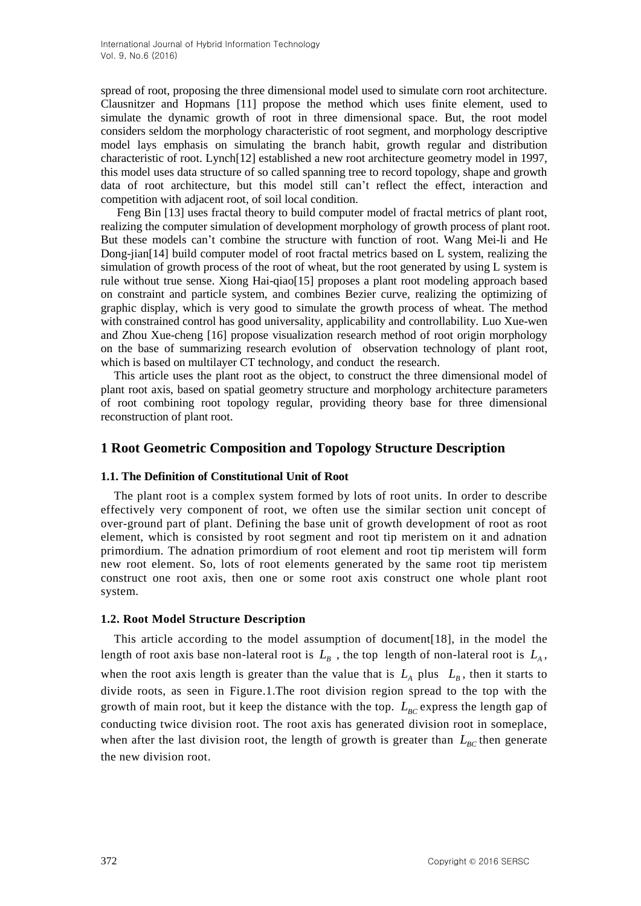spread of root, proposing the three dimensional model used to simulate corn root architecture. Clausnitzer and Hopmans [11] propose the method which uses finite element, used to simulate the dynamic growth of root in three dimensional space. But, the root model considers seldom the morphology characteristic of root segment, and morphology descriptive model lays emphasis on simulating the branch habit, growth regular and distribution characteristic of root. Lynch[12] established a new root architecture geometry model in 1997, this model uses data structure of so called spanning tree to record topology, shape and growth data of root architecture, but this model still can't reflect the effect, interaction and competition with adjacent root, of soil local condition.

Feng Bin [13] uses fractal theory to build computer model of fractal metrics of plant root, realizing the computer simulation of development morphology of growth process of plant root. But these models can't combine the structure with function of root. Wang Mei-li and He Dong-jian[14] build computer model of root fractal metrics based on L system, realizing the simulation of growth process of the root of wheat, but the root generated by using L system is rule without true sense. Xiong Hai-qiao[15] proposes a plant root modeling approach based on constraint and particle system, and combines Bezier curve, realizing the optimizing of graphic display, which is very good to simulate the growth process of wheat. The method with constrained control has good universality, applicability and controllability. Luo Xue-wen and Zhou Xue-cheng [16] propose visualization research method of root origin morphology on the base of summarizing research evolution of observation technology of plant root, which is based on multilayer CT technology, and conduct the research.

This article uses the plant root as the object, to construct the three dimensional model of plant root axis, based on spatial geometry structure and morphology architecture parameters of root combining root topology regular, providing theory base for three dimensional reconstruction of plant root.

## **1 Root Geometric Composition and Topology Structure Description**

## **1.1. The Definition of Constitutional Unit of Root**

The plant root is a complex system formed by lots of root units. In order to describe effectively very component of root, we often use the similar section unit concept of over-ground part of plant. Defining the base unit of growth development of root as root element, which is consisted by root segment and root tip meristem on it and adnation primordium. The adnation primordium of root element and root tip meristem will form new root element. So, lots of root elements generated by the same root tip meristem construct one root axis, then one or some root axis construct one whole plant root system.

## **1.2. Root Model Structure Description**

This article according to the model assumption of document[18], in the model the length of root axis base non-lateral root is  $L_B$ , the top length of non-lateral root is  $L_A$ , when the root axis length is greater than the value that is  $L_A$  plus  $L_B$ , then it starts to divide roots, as seen in Figure.1.The root division region spread to the top with the growth of main root, but it keep the distance with the top.  $L_{BC}$  express the length gap of conducting twice division root. The root axis has generated division root in someplace, when after the last division root, the length of growth is greater than  $L_{BC}$  then generate the new division root.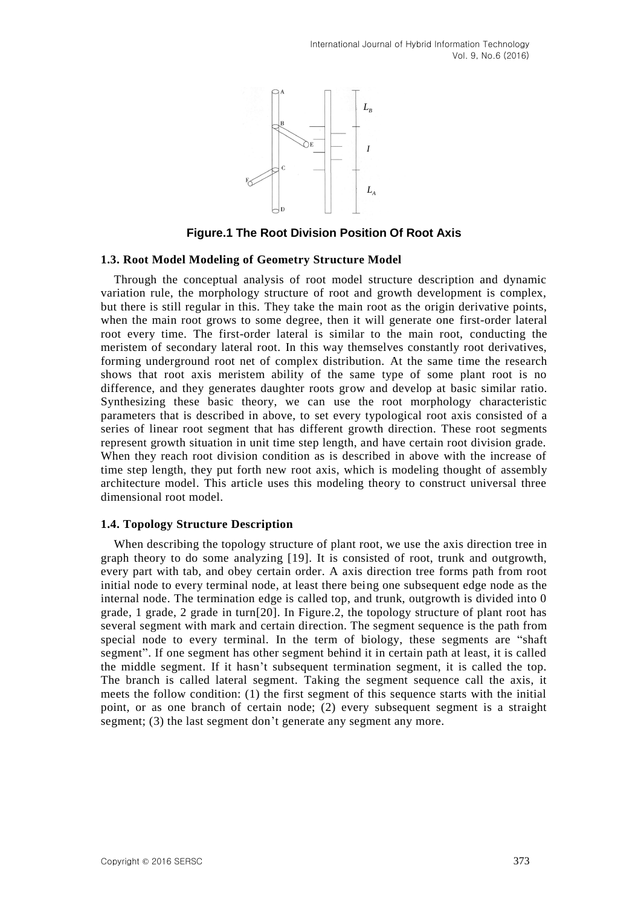

**Figure.1 The Root Division Position Of Root Axis**

### **1.3. Root Model Modeling of Geometry Structure Model**

**Example 1.12 To all the properties of the state of the state of the state of the state of the state of the most of the most of the state of the state of the state of the state of the state of the state of the state of the** Through the conceptual analysis of root model structure description and dynamic variation rule, the morphology structure of root and growth development is complex, but there is still regular in this. They take the main root as the origin derivative points, when the main root grows to some degree, then it will generate one first-order lateral root every time. The first-order lateral is similar to the main root, conducting the meristem of secondary lateral root. In this way themselves constantly root derivatives, forming underground root net of complex distribution. At the same time the research shows that root axis meristem ability of the same type of some plant root is no difference, and they generates daughter roots grow and develop at basic similar ratio. Synthesizing these basic theory, we can use the root morphology characteristic parameters that is described in above, to set every typological root axis consisted of a series of linear root segment that has different growth direction. These root segments represent growth situation in unit time step length, and have certain root division grade. When they reach root division condition as is described in above with the increase of time step length, they put forth new root axis, which is modeling thought of assembly architecture model. This article uses this modeling theory to construct universal three dimensional root model.

## **1.4. Topology Structure Description**

When describing the topology structure of plant root, we use the axis direction tree in graph theory to do some analyzing [19]. It is consisted of root, trunk and outgrowth, every part with tab, and obey certain order. A axis direction tree forms path from root initial node to every terminal node, at least there being one subsequent edge node as the internal node. The termination edge is called top, and trunk, outgrowth is divided into 0 grade, 1 grade, 2 grade in turn[20]. In Figure.2, the topology structure of plant root has several segment with mark and certain direction. The segment sequence is the path from special node to every terminal. In the term of biology, these segments are "shaft segment". If one segment has other segment behind it in certain path at least, it is called the middle segment. If it hasn't subsequent termination segment, it is called the top. The branch is called lateral segment. Taking the segment sequence call the axis, it meets the follow condition: (1) the first segment of this sequence starts with the initial point, or as one branch of certain node; (2) every subsequent segment is a straight segment; (3) the last segment don't generate any segment any more.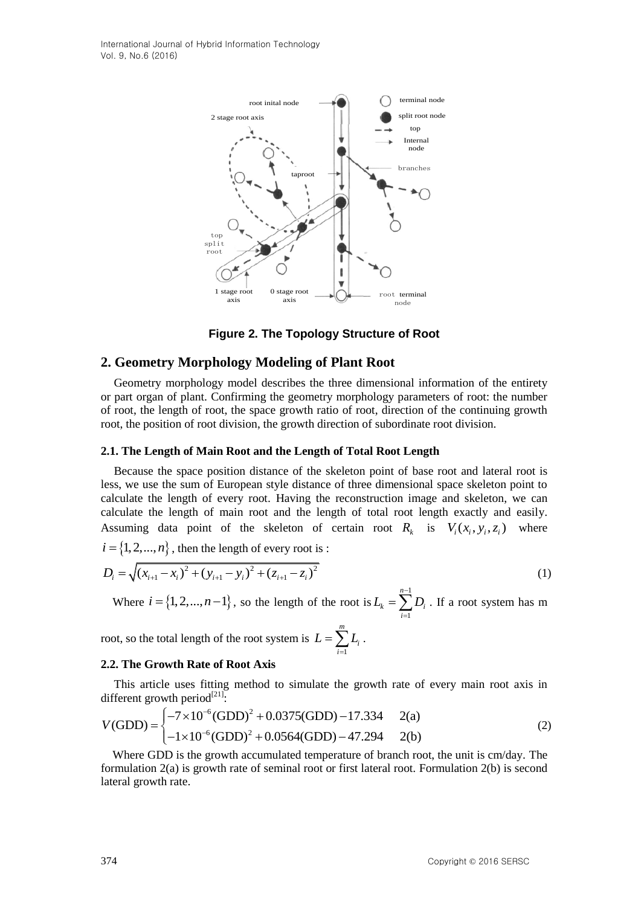International Journal of Hybrid Information Technology Vol. 9, No.6 (2016)



## **Figure 2. The Topology Structure of Root**

## **2. Geometry Morphology Modeling of Plant Root**

Geometry morphology model describes the three dimensional information of the entirety or part organ of plant. Confirming the geometry morphology parameters of root: the number of root, the length of root, the space growth ratio of root, direction of the continuing growth root, the position of root division, the growth direction of subordinate root division.

#### **2.1. The Length of Main Root and the Length of Total Root Length**

Because the space position distance of the skeleton point of base root and lateral root is less, we use the sum of European style distance of three dimensional space skeleton point to calculate the length of every root. Having the reconstruction image and skeleton, we can calculate the length of main root and the length of total root length exactly and easily. Assuming data point of the skeleton of certain root  $R_k$  is  $V_i(x_i, y_i, z_i)$  where  $i = \{1, 2, ..., n\}$ , then the length of every root is :

$$
i = \{1, 2, ..., n\}, \text{ then the length of every root is :}
$$
\n
$$
D_i = \sqrt{(x_{i+1} - x_i)^2 + (y_{i+1} - y_i)^2 + (z_{i+1} - z_i)^2}
$$
\n
$$
(1)
$$

Where  $i = \{1, 2, ..., n-1\}$ , so the length of the root is  $L_k = \sum_{k=1}^{n-1} L_k$ 1  $\mu_k - \sum \nu_i$ *i*  $L_{k} = \sum_{i} D_{i}$  $=\sum_{i=1}^{n} D_i$ . If a root system has m

root, so the total length of the root system is 1 *m i i*  $L = \sum L$  $=\sum_{i=1}^{\mathstrut}L_{i}\ .$ 

## **2.2. The Growth Rate of Root Axis**

This article uses fitting method to simulate the growth rate of every main root axis in ferent growth period<sup>[21]</sup>:<br>  $(GDD) = \begin{cases} -7 \times 10^{-6} (GDD)^2 + 0.0375 (GDD) - 17.334 & 2(a) \end{cases}$  (2) different growth period<sup>[21]</sup>:<br> $\left(-7 \times 10^{-6} (\text{GDD})^2\right)$ 

differential growth period<sup>(2-1)</sup>:  
\n
$$
V(GDD) = \begin{cases}\n-7 \times 10^{-6} (GDD)^2 + 0.0375 (GDD) - 17.334 & 2(a) \\
-1 \times 10^{-6} (GDD)^2 + 0.0564 (GDD) - 47.294 & 2(b)\n\end{cases}
$$
\n(2)

Where GDD is the growth accumulated temperature of branch root, the unit is cm/day. The formulation 2(a) is growth rate of seminal root or first lateral root. Formulation 2(b) is second lateral growth rate.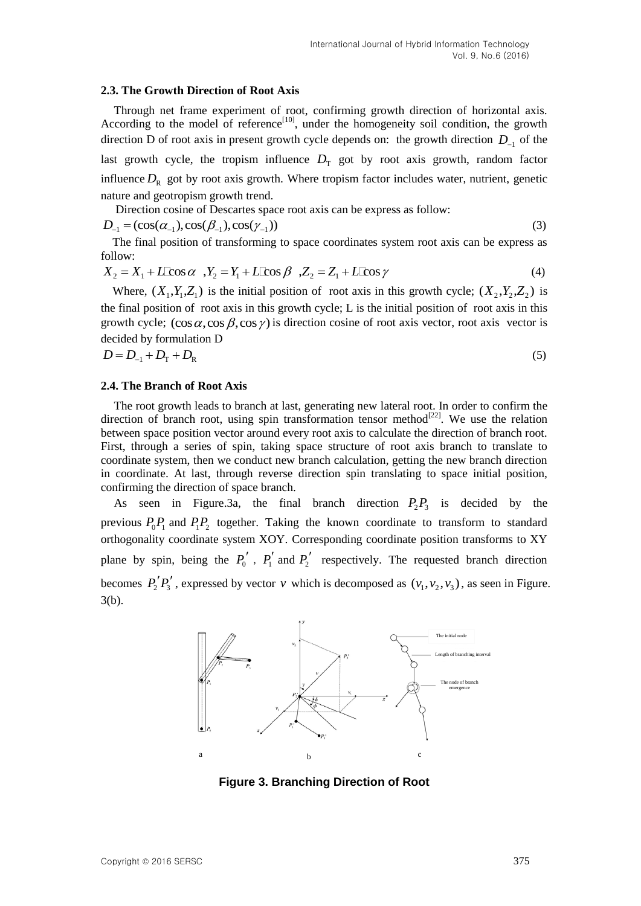#### **2.3. The Growth Direction of Root Axis**

Through net frame experiment of root, confirming growth direction of horizontal axis. According to the model of reference<sup>[10]</sup>, under the homogeneity soil condition, the growth direction D of root axis in present growth cycle depends on: the growth direction  $D_{-1}$  of the last growth cycle, the tropism influence  $D_T$  got by root axis growth, random factor influence  $D_R$  got by root axis growth. Where tropism factor includes water, nutrient, genetic nature and geotropism growth trend.

Direction cosine of Descartes space root axis can be express as follow:  

$$
D_{-1} = (\cos(\alpha_{-1}), \cos(\beta_{-1}), \cos(\gamma_{-1}))
$$
(3)

The final position of transforming to space coordinates system root axis can be express as <br>
2ollow:<br>  $X_2 = X_1 + L\cos\alpha$ ,  $Y_2 = Y_1 + L\cos\beta$ ,  $Z_2 = Z_1 + L\cos\gamma$  (4) follow:

$$
X_2 = X_1 + L\cos\alpha, \quad X_2 = Y_1 + L\cos\beta, \quad Z_2 = Z_1 + L\cos\gamma
$$
\n<sup>(4)</sup>

Where,  $(X_1, Y_1, Z_1)$  is the initial position of root axis in this growth cycle;  $(X_2, Y_2, Z_2)$  is the final position of root axis in this growth cycle; L is the initial position of root axis in this growth cycle;  $(\cos \alpha, \cos \beta, \cos \gamma)$  is direction cosine of root axis vector, root axis vector is decided by formulation D

$$
D = D_{-1} + D_{\rm T} + D_{\rm R} \tag{5}
$$

#### **2.4. The Branch of Root Axis**

The root growth leads to branch at last, generating new lateral root. In order to confirm the direction of branch root, using spin transformation tensor method<sup>[22]</sup>. We use the relation between space position vector around every root axis to calculate the direction of branch root. First, through a series of spin, taking space structure of root axis branch to translate to coordinate system, then we conduct new branch calculation, getting the new branch direction in coordinate. At last, through reverse direction spin translating to space initial position, confirming the direction of space branch.

As seen in Figure.3a, the final branch direction  $P_2P_3$  is decided by the previous  $P_0P_1$  and  $P_1P_2$  together. Taking the known coordinate to transform to standard orthogonality coordinate system XOY. Corresponding coordinate position transforms to XY plane by spin, being the  $P_0'$ ,  $P_1'$  and  $P_2'$  respectively. The requested branch direction becomes  $P_2' P_3'$ , expressed by vector v which is decomposed as  $(v_1, v_2, v_3)$ , as seen in Figure. 3(b).



**Figure 3. Branching Direction of Root**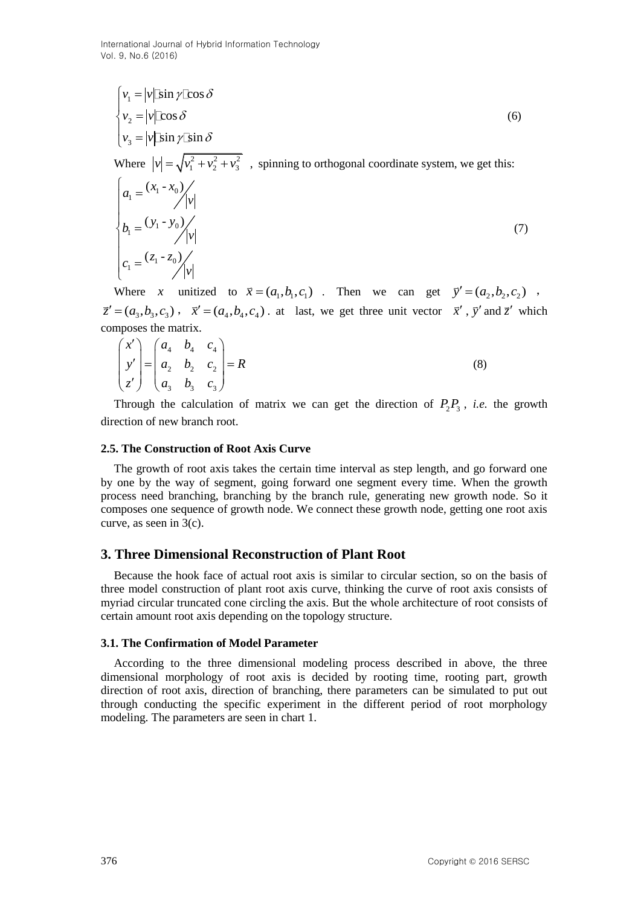International Journal of Hybrid Information Technology Vol. 9, No.6 (2016)

$$
\begin{cases}\nv_1 = |v| \sin \gamma \cos \delta \\
v_2 = |v| \cos \delta \\
v_3 = |v| \sin \gamma \sin \delta\n\end{cases}
$$
\n(6)  
\nWhere  $|v| = \sqrt{v_1^2 + v_2^2 + v_3^2}$ , spinning to orthogonal coordinate system, we get this:

$$
a_1 = \frac{(x_1 - x_0)}{|v|} \nb_1 = \frac{(y_1 - y_0)}{|v|} \nc_1 = \frac{(z_1 - z_0)}{|v|}
$$
\n(7)

Where *x* unitized to  $\vec{x} = (a_1, b_1, c_1)$ . Then we can get  $\vec{y}' = (a_2, b_2, c_2)$ ,  $\vec{z}' = (a_3, b_3, c_3)$ ,  $\vec{x}' = (a_4, b_4, c_4)$ . at last, we get three unit vector  $\vec{x}'$ ,  $\vec{y}'$  and  $\vec{z}'$  which composes the matrix.

$$
\begin{pmatrix} x' \\ y' \\ z' \end{pmatrix} = \begin{pmatrix} a_4 & b_4 & c_4 \\ a_2 & b_2 & c_2 \\ a_3 & b_3 & c_3 \end{pmatrix} = R
$$
 (8)

Through the calculation of matrix we can get the direction of  $P_2P_3$ , *i.e.* the growth direction of new branch root.

#### **2.5. The Construction of Root Axis Curve**

The growth of root axis takes the certain time interval as step length, and go forward one by one by the way of segment, going forward one segment every time. When the growth process need branching, branching by the branch rule, generating new growth node. So it composes one sequence of growth node. We connect these growth node, getting one root axis curve, as seen in 3(c).

### **3. Three Dimensional Reconstruction of Plant Root**

Because the hook face of actual root axis is similar to circular section, so on the basis of three model construction of plant root axis curve, thinking the curve of root axis consists of myriad circular truncated cone circling the axis. But the whole architecture of root consists of certain amount root axis depending on the topology structure.

#### **3.1. The Confirmation of Model Parameter**

According to the three dimensional modeling process described in above, the three dimensional morphology of root axis is decided by rooting time, rooting part, growth direction of root axis, direction of branching, there parameters can be simulated to put out through conducting the specific experiment in the different period of root morphology modeling. The parameters are seen in chart 1.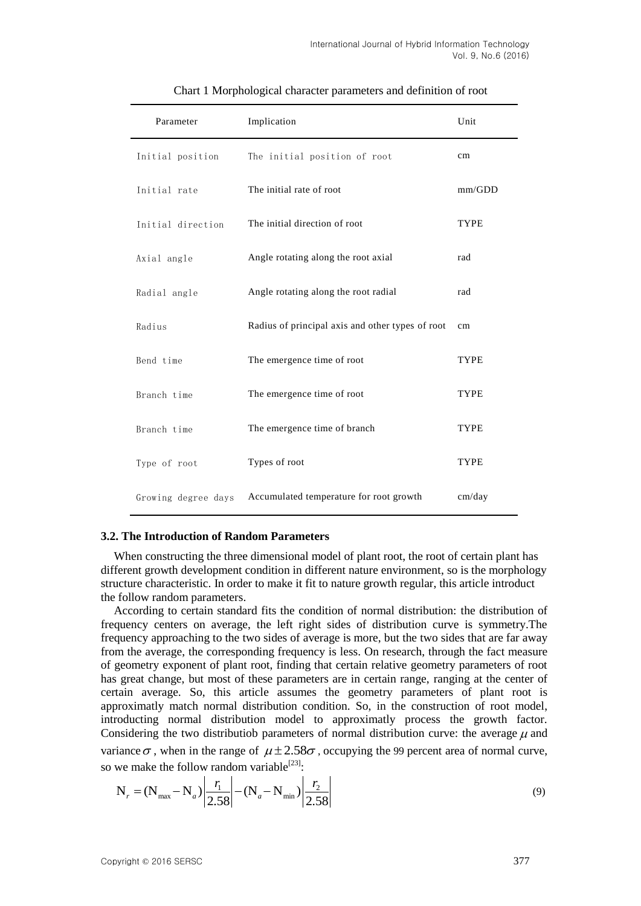| Parameter           | Implication                                      | Unit        |
|---------------------|--------------------------------------------------|-------------|
| Initial position    | The initial position of root                     | cm          |
| Initial rate        | The initial rate of root                         | mm/GDD      |
| Initial direction   | The initial direction of root                    | TYPE        |
| Axial angle         | Angle rotating along the root axial              | rad         |
| Radial angle        | Angle rotating along the root radial             | rad         |
| Radius              | Radius of principal axis and other types of root | cm          |
| Bend time           | The emergence time of root                       | <b>TYPE</b> |
| Branch time         | The emergence time of root                       | <b>TYPE</b> |
| Branch time         | The emergence time of branch                     | <b>TYPE</b> |
| Type of root        | Types of root                                    | <b>TYPE</b> |
| Growing degree days | Accumulated temperature for root growth          | cm/day      |

## Chart 1 Morphological character parameters and definition of root

### **3.2. The Introduction of Random Parameters**

When constructing the three dimensional model of plant root, the root of certain plant has different growth development condition in different nature environment, so is the morphology structure characteristic. In order to make it fit to nature growth regular, this article introduct the follow random parameters.

According to certain standard fits the condition of normal distribution: the distribution of frequency centers on average, the left right sides of distribution curve is symmetry.The frequency approaching to the two sides of average is more, but the two sides that are far away from the average, the corresponding frequency is less. On research, through the fact measure of geometry exponent of plant root, finding that certain relative geometry parameters of root has great change, but most of these parameters are in certain range, ranging at the center of certain average. So, this article assumes the geometry parameters of plant root is approximatly match normal distribution condition. So, in the construction of root model, introducting normal distribution model to approximatly process the growth factor. Considering the two distributiob parameters of normal distribution curve: the average  $\mu$  and variance  $\sigma$ , when in the range of  $\mu \pm 2.58\sigma$ , occupying the 99 percent area of normal curve,

so we make the follow random variable<sup>[23]</sup>:  
\n
$$
N_r = (N_{max} - N_a) \left| \frac{r_1}{2.58} \right| - (N_a - N_{min}) \left| \frac{r_2}{2.58} \right|
$$
\n(9)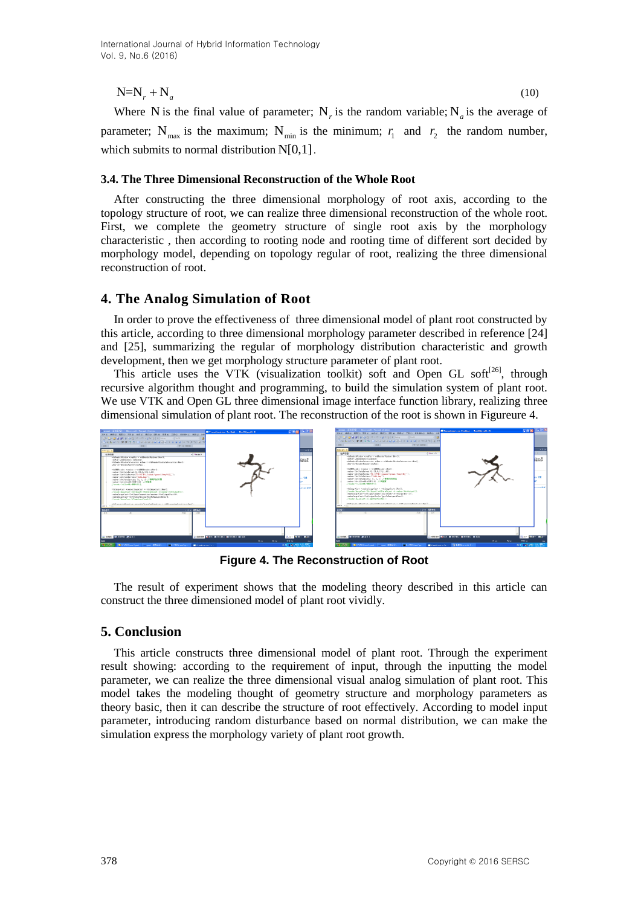$+N_a$  (10)

Where N is the final value of parameter;  $N_r$  is the random variable;  $N_a$  is the average of parameter;  $N_{\text{max}}$  is the maximum;  $N_{\text{min}}$  is the minimum;  $r_1$  and  $r_2$  the random number, which submits to normal distribution N[0,1].

## **3.4. The Three Dimensional Reconstruction of the Whole Root**

After constructing the three dimensional morphology of root axis, according to the topology structure of root, we can realize three dimensional reconstruction of the whole root. First, we complete the geometry structure of single root axis by the morphology characteristic , then according to rooting node and rooting time of different sort decided by morphology model, depending on topology regular of root, realizing the three dimensional reconstruction of root.

## **4. The Analog Simulation of Root**

In order to prove the effectiveness of three dimensional model of plant root constructed by this article, according to three dimensional morphology parameter described in reference [24] and [25], summarizing the regular of morphology distribution characteristic and growth development, then we get morphology structure parameter of plant root.

This article uses the VTK (visualization toolkit) soft and Open GL soft<sup>[26]</sup>, through recursive algorithm thought and programming, to build the simulation system of plant root. We use VTK and Open GL three dimensional image interface function library, realizing three dimensional simulation of plant root. The reconstruction of the root is shown in Figureure 4.



**Figure 4. The Reconstruction of Root**

The result of experiment shows that the modeling theory described in this article can construct the three dimensioned model of plant root vividly.

## **5. Conclusion**

This article constructs three dimensional model of plant root. Through the experiment result showing: according to the requirement of input, through the inputting the model parameter, we can realize the three dimensional visual analog simulation of plant root. This model takes the modeling thought of geometry structure and morphology parameters as theory basic, then it can describe the structure of root effectively. According to model input parameter, introducing random disturbance based on normal distribution, we can make the simulation express the morphology variety of plant root growth.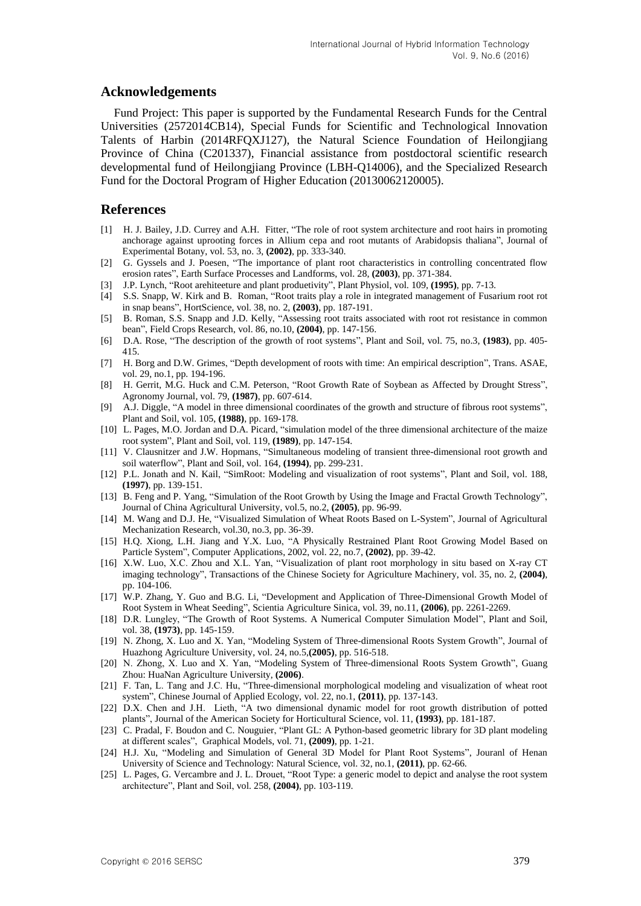## **Acknowledgements**

Fund Project: This paper is supported by the Fundamental Research Funds for the Central Universities (2572014CB14), Special Funds for Scientific and Technological Innovation Talents of Harbin (2014RFQXJ127), the Natural Science Foundation of Heilongjiang Province of China (C201337), Financial assistance from postdoctoral scientific research developmental fund of Heilongjiang Province (LBH-Q14006), and the Specialized Research Fund for the Doctoral Program of Higher Education (20130062120005).

## **References**

- [1] H. J. Bailey, J.D. Currey and A.H. Fitter, "The role of root system architecture and root hairs in promoting anchorage against uprooting forces in Allium cepa and root mutants of Arabidopsis thaliana", Journal of Experimental Botany, vol. 53, no. 3, **(2002)**, pp. 333-340.
- [2] G. Gyssels and J. Poesen, "The importance of plant root characteristics in controlling concentrated flow erosion rates", Earth Surface Processes and Landforms, vol. 28, **(2003)**, pp. 371-384.
- [3] J.P. Lynch, "Root arehiteeture and plant produetivity", Plant Physiol, vol. 109, **(1995)**, pp. 7-13.
- [4] S.S. Snapp, W. Kirk and B. Roman, "Root traits play a role in integrated management of Fusarium root rot in snap beans", HortScience, vol. 38, no. 2, **(2003)**, pp. 187-191.
- [5] B. Roman, S.S. Snapp and J.D. Kelly, "Assessing root traits associated with root rot resistance in common bean", Field Crops Research, vol. 86, no.10, **(2004)**, pp. 147-156.
- [6] D.A. Rose, "The description of the growth of root systems", Plant and Soil, vol. 75, no.3, **(1983)**, pp. 405- 415.
- [7] H. Borg and D.W. Grimes, "Depth development of roots with time: An empirical description", Trans. ASAE, vol. 29, no.1, pp. 194-196.
- [8] H. Gerrit, M.G. Huck and C.M. Peterson, "Root Growth Rate of Soybean as Affected by Drought Stress", Agronomy Journal, vol. 79, **(1987)**, pp. 607-614.
- [9] A.J. Diggle, "A model in three dimensional coordinates of the growth and structure of fibrous root systems", Plant and Soil, vol. 105, **(1988)**, pp. 169-178.
- [10] L. Pages, M.O. Jordan and D.A. Picard, "simulation model of the three dimensional architecture of the maize root system", Plant and Soil, vol. 119, **(1989)**, pp. 147-154.
- [11] V. Clausnitzer and J.W. Hopmans, "Simultaneous modeling of transient three-dimensional root growth and soil waterflow", Plant and Soil, vol. 164, **(1994)**, pp. 299-231.
- [12] P.L. Jonath and N. Kail, "SimRoot: Modeling and visualization of root systems", Plant and Soil, vol. 188, **(1997)**, pp. 139-151.
- [13] B. Feng and P. Yang, "Simulation of the Root Growth by Using the Image and Fractal Growth Technology", Journal of China Agricultural University, vol.5, no.2, **(2005)**, pp. 96-99.
- [14] M. Wang and D.J. He, "Visualized Simulation of Wheat Roots Based on L-System", Journal of Agricultural Mechanization Research, vol.30, no.3, pp. 36-39.
- [15] H.Q. Xiong, L.H. Jiang and Y.X. Luo, "A Physically Restrained Plant Root Growing Model Based on Particle System", Computer Applications, 2002, vol. 22, no.7, **(2002)**, pp. 39-42.
- [16] X.W. Luo, X.C. Zhou and X.L. Yan, "Visualization of plant root morphology in situ based on X-ray CT imaging technology", Transactions of the Chinese Society for Agriculture Machinery, vol. 35, no. 2, **(2004)**, pp. 104-106.
- [17] W.P. Zhang, Y. Guo and B.G. Li, "Development and Application of Three-Dimensional Growth Model of Root System in Wheat Seeding", Scientia Agriculture Sinica, vol. 39, no.11, **(2006)**, pp. 2261-2269.
- [18] D.R. Lungley, "The Growth of Root Systems. A Numerical Computer Simulation Model", Plant and Soil, vol. 38, **(1973)**, pp. 145-159.
- [19] N. Zhong, X. Luo and X. Yan, "Modeling System of Three-dimensional Roots System Growth", Journal of Huazhong Agriculture University, vol. 24, no.5,**(2005)**, pp. 516-518.
- [20] N. Zhong, X. Luo and X. Yan, "Modeling System of Three-dimensional Roots System Growth", Guang Zhou: HuaNan Agriculture University, **(2006)**.
- [21] F. Tan, L. Tang and J.C. Hu, "Three-dimensional morphological modeling and visualization of wheat root system", Chinese Journal of Applied Ecology, vol. 22, no.1, **(2011)**, pp. 137-143.
- [22] D.X. Chen and J.H. Lieth, "A two dimensional dynamic model for root growth distribution of potted plants", Journal of the American Society for Horticultural Science, vol. 11, **(1993)**, pp. 181-187.
- [23] C. Pradal, F. Boudon and C. Nouguier, "Plant GL: A Python-based geometric library for 3D plant modeling at different scales", Graphical Models, vol. 71, **(2009)**, pp. 1-21.
- [24] H.J. Xu, "Modeling and Simulation of General 3D Model for Plant Root Systems", Jouranl of Henan University of Science and Technology: Natural Science, vol. 32, no.1, **(2011)**, pp. 62-66.
- [25] L. Pages, G. Vercambre and J. L. Drouet, "Root Type: a generic model to depict and analyse the root system architecture", Plant and Soil, vol. 258, **(2004)**, pp. 103-119.